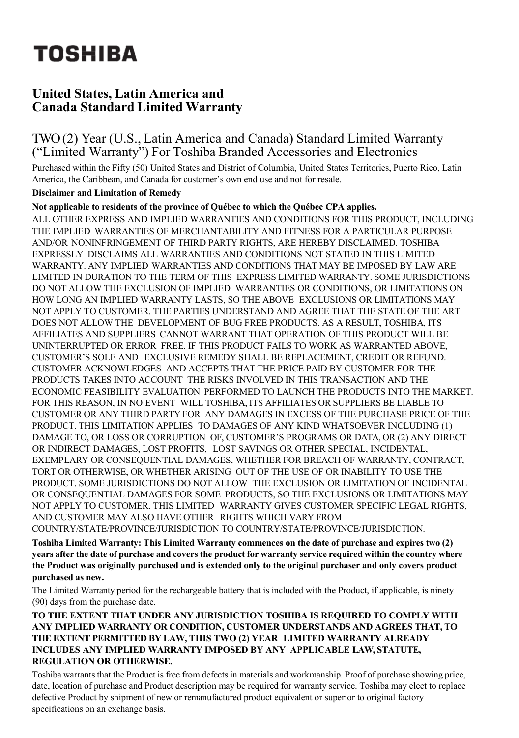# **TOSHIBA**

# **United States, Latin America and Canada Standard Limited Warranty**

# TWO(2) Year (U.S., Latin America and Canada) Standard Limited Warranty ("Limited Warranty") For Toshiba Branded Accessories and Electronics

Purchased within the Fifty (50) United States and District of Columbia, United States Territories, Puerto Rico, Latin America, the Caribbean, and Canada for customer's own end use and not for resale.

#### **Disclaimer and Limitation of Remedy**

**Not applicable to residents of the province of Québec to which the Québec CPA applies.** 

ALL OTHER EXPRESS AND IMPLIED WARRANTIES AND CONDITIONS FOR THIS PRODUCT, INCLUDING THE IMPLIED WARRANTIES OF MERCHANTABILITY AND FITNESS FOR A PARTICULAR PURPOSE AND/OR NONINFRINGEMENT OF THIRD PARTY RIGHTS, ARE HEREBY DISCLAIMED. TOSHIBA EXPRESSLY DISCLAIMS ALL WARRANTIES AND CONDITIONS NOT STATED IN THIS LIMITED WARRANTY. ANY IMPLIED WARRANTIES AND CONDITIONS THAT MAY BE IMPOSED BY LAW ARE LIMITED IN DURATION TO THE TERM OF THIS EXPRESS LIMITED WARRANTY. SOME JURISDICTIONS DO NOT ALLOW THE EXCLUSION OF IMPLIED WARRANTIES OR CONDITIONS, OR LIMITATIONS ON HOW LONG AN IMPLIED WARRANTY LASTS, SO THE ABOVE EXCLUSIONS OR LIMITATIONS MAY NOT APPLY TO CUSTOMER. THE PARTIES UNDERSTAND AND AGREE THAT THE STATE OF THE ART DOES NOT ALLOW THE DEVELOPMENT OF BUG FREE PRODUCTS. AS A RESULT, TOSHIBA, ITS AFFILIATES AND SUPPLIERS CANNOT WARRANT THAT OPERATION OF THIS PRODUCT WILL BE UNINTERRUPTED OR ERROR FREE. IF THIS PRODUCT FAILS TO WORK AS WARRANTED ABOVE, CUSTOMER'S SOLE AND EXCLUSIVE REMEDY SHALL BE REPLACEMENT, CREDIT OR REFUND. CUSTOMER ACKNOWLEDGES AND ACCEPTS THAT THE PRICE PAID BY CUSTOMER FOR THE PRODUCTS TAKES INTO ACCOUNT THE RISKS INVOLVED IN THIS TRANSACTION AND THE ECONOMIC FEASIBILITY EVALUATION PERFORMED TO LAUNCH THE PRODUCTS INTO THE MARKET. FOR THIS REASON, IN NO EVENT WILL TOSHIBA, ITS AFFILIATES OR SUPPLIERS BE LIABLE TO CUSTOMER OR ANY THIRD PARTY FOR ANY DAMAGES IN EXCESS OF THE PURCHASE PRICE OF THE PRODUCT. THIS LIMITATION APPLIES TO DAMAGES OF ANY KIND WHATSOEVER INCLUDING (1) DAMAGE TO, OR LOSS OR CORRUPTION OF, CUSTOMER'S PROGRAMS OR DATA, OR (2) ANY DIRECT OR INDIRECT DAMAGES, LOST PROFITS, LOST SAVINGS OR OTHER SPECIAL, INCIDENTAL, EXEMPLARY OR CONSEQUENTIAL DAMAGES, WHETHER FOR BREACH OF WARRANTY, CONTRACT, TORT OR OTHERWISE, OR WHETHER ARISING OUT OF THE USE OF OR INABILITY TO USE THE PRODUCT. SOME JURISDICTIONS DO NOT ALLOW THE EXCLUSION OR LIMITATION OF INCIDENTAL OR CONSEQUENTIAL DAMAGES FOR SOME PRODUCTS, SO THE EXCLUSIONS OR LIMITATIONS MAY NOT APPLY TO CUSTOMER. THIS LIMITED WARRANTY GIVES CUSTOMER SPECIFIC LEGAL RIGHTS, AND CUSTOMER MAY ALSO HAVE OTHER RIGHTS WHICH VARY FROM COUNTRY/STATE/PROVINCE/JURISDICTION TO COUNTRY/STATE/PROVINCE/JURISDICTION.

**Toshiba Limited Warranty: This Limited Warranty commences on the date of purchase and expires two (2)** years after the date of purchase and covers the product for warranty service required within the country where **the Product was originally purchased and is extended only to the original purchaser and only covers product purchased as new.**

The Limited Warranty period for the rechargeable battery that is included with the Product, if applicable, is ninety (90) days from the purchase date.

#### **TO THE EXTENT THAT UNDER ANY JURISDICTION TOSHIBA IS REQUIRED TO COMPLY WITH ANY IMPLIED WARRANTY OR CONDITION, CUSTOMER UNDERSTANDS AND AGREES THAT, TO THE EXTENT PERMITTED BY LAW, THIS TWO (2) YEAR LIMITED WARRANTY ALREADY INCLUDES ANY IMPLIED WARRANTY IMPOSED BY ANY APPLICABLE LAW, STATUTE, REGULATION OR OTHERWISE.**

Toshiba warrants that the Product is free from defects in materials and workmanship. Proof of purchase showing price, date, location of purchase and Product description may be required for warranty service. Toshiba may elect to replace defective Product by shipment of new or remanufactured product equivalent or superior to original factory specifications on an exchange basis.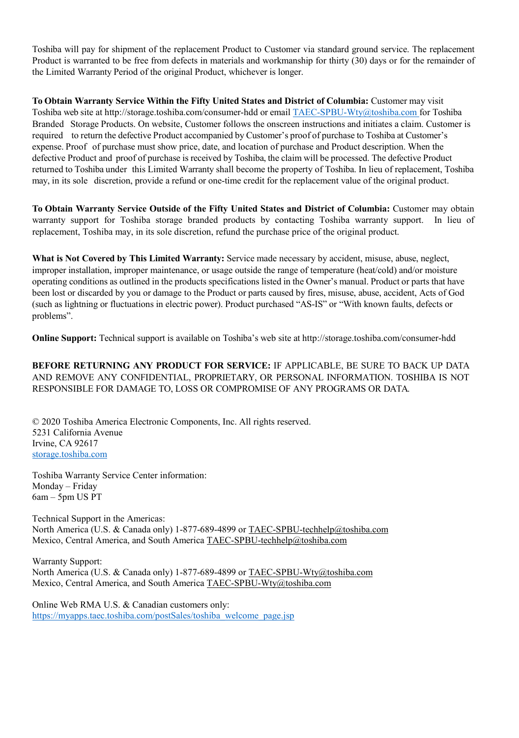Toshiba will pay for shipment of the replacement Product to Customer via standard ground service. The replacement Product is warranted to be free from defects in materials and workmanship for thirty (30) days or for the remainder of the Limited Warranty Period of the original Product, whichever is longer.

**To Obtain Warranty Service Within the Fifty United States and District of Columbia:** Customer may visit Toshiba web site at http://storage.toshiba.com/consumer-hdd or email TAEC-SPBU-Wty@toshiba.com for Toshiba Branded Storage Products. On website, Customer follows the onscreen instructions and initiates a claim. Customer is required to return the defective Product accompanied by Customer's proof of purchase to Toshiba at Customer's expense. Proof of purchase must show price, date, and location of purchase and Product description. When the defective Product and proof of purchase is received by Toshiba, the claim will be processed. The defective Product returned to Toshiba under this Limited Warranty shall become the property of Toshiba. In lieu of replacement, Toshiba may, in its sole discretion, provide a refund or one-time credit for the replacement value of the original product.

**To Obtain Warranty Service Outside of the Fifty United States and District of Columbia:** Customer may obtain warranty support for Toshiba storage branded products by contacting Toshiba warranty support. In lieu of replacement, Toshiba may, in its sole discretion, refund the purchase price of the original product.

**What is Not Covered by This Limited Warranty:** Service made necessary by accident, misuse, abuse, neglect, improper installation, improper maintenance, or usage outside the range of temperature (heat/cold) and/or moisture operating conditions as outlined in the products specifications listed in the Owner's manual. Product or parts that have been lost or discarded by you or damage to the Product or parts caused by fires, misuse, abuse, accident, Acts of God (such as lightning or fluctuations in electric power). Product purchased "AS-IS" or "With known faults, defects or problems".

**Online Support:** Technical support is available on Toshiba's web site at http://storage.toshiba.com/consumer-hdd

**BEFORE RETURNING ANY PRODUCT FOR SERVICE:** IF APPLICABLE, BE SURE TO BACK UP DATA AND REMOVE ANY CONFIDENTIAL, PROPRIETARY, OR PERSONAL INFORMATION. TOSHIBA IS NOT RESPONSIBLE FOR DAMAGE TO, LOSS OR COMPROMISE OF ANY PROGRAMS OR DATA.

© 2020 Toshiba America Electronic Components, Inc. All rights reserved. 5231 California Avenue Irvine, CA 92617 [storage.toshiba.com](https://toshiba.semicon-storage.com/us/product/storage-products.html)

Toshiba Warranty Service Center information: Monday – Friday 6am – 5pm US PT

Technical Support in the Americas: North America (U.S. & Canada only) 1-877-689-4899 or TAEC-SPBU-techhelp@toshiba.com Mexico, Central America, and South America TAEC-SPBU-techhelp@toshiba.com

Warranty Support: North America (U.S. & Canada only) 1-877-689-4899 or TAEC-SPBU-Wty@toshiba.com Mexico, Central America, and South America TAEC-SPBU-Wty@toshiba.com

Online Web RMA U.S. & Canadian customers only: [https://myapps.taec.toshiba.com/postSales/toshiba\\_welcome\\_page.jsp](https://myapps.taec.toshiba.com/postSales/toshiba_welcome_page.jsp)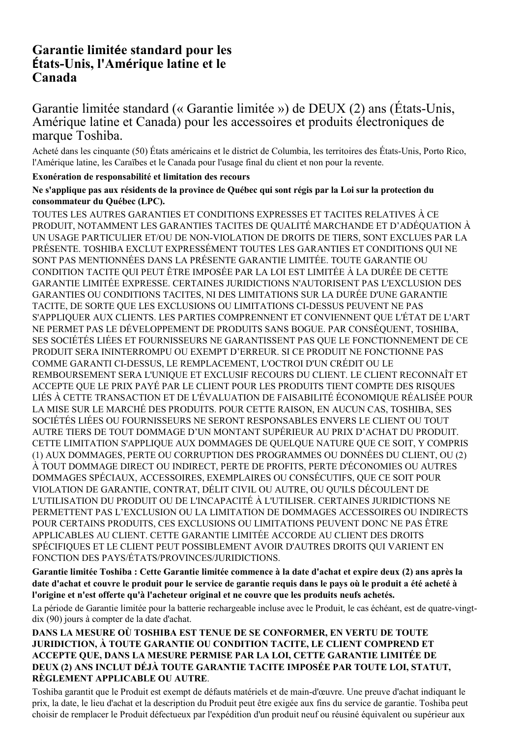# **Garantie limitée standard pour les États-Unis, l'Amérique latine et le Canada**

## Garantie limitée standard (« Garantie limitée ») de DEUX (2) ans (États-Unis, Amérique latine et Canada) pour les accessoires et produits électroniques de marque Toshiba.

Acheté dans les cinquante (50) États américains et le district de Columbia, les territoires des États-Unis, Porto Rico, l'Amérique latine, les Caraïbes et le Canada pour l'usage final du client et non pour la revente.

#### **Exonération de responsabilité et limitation des recours**

#### **Ne s'applique pas aux résidents de la province de Québec qui sont régis par la Loi sur la protection du consommateur du Québec (LPC).**

TOUTES LES AUTRES GARANTIES ET CONDITIONS EXPRESSES ET TACITES RELATIVES À CE PRODUIT, NOTAMMENT LES GARANTIES TACITES DE QUALITÉ MARCHANDE ET D'ADÉQUATION À UN USAGE PARTICULIER ET/OU DE NON-VIOLATION DE DROITS DE TIERS, SONT EXCLUES PAR LA PRÉSENTE. TOSHIBA EXCLUT EXPRESSÉMENT TOUTES LES GARANTIES ET CONDITIONS QUI NE SONT PAS MENTIONNÉES DANS LA PRÉSENTE GARANTIE LIMITÉE. TOUTE GARANTIE OU CONDITION TACITE QUI PEUT ÊTRE IMPOSÉE PAR LA LOI EST LIMITÉE À LA DURÉE DE CETTE GARANTIE LIMITÉE EXPRESSE. CERTAINES JURIDICTIONS N'AUTORISENT PAS L'EXCLUSION DES GARANTIES OU CONDITIONS TACITES, NI DES LIMITATIONS SUR LA DURÉE D'UNE GARANTIE TACITE, DE SORTE QUE LES EXCLUSIONS OU LIMITATIONS CI-DESSUS PEUVENT NE PAS S'APPLIQUER AUX CLIENTS. LES PARTIES COMPRENNENT ET CONVIENNENT QUE L'ÉTAT DE L'ART NE PERMET PAS LE DÉVELOPPEMENT DE PRODUITS SANS BOGUE. PAR CONSÉQUENT, TOSHIBA, SES SOCIÉTÉS LIÉES ET FOURNISSEURS NE GARANTISSENT PAS QUE LE FONCTIONNEMENT DE CE PRODUIT SERA ININTERROMPU OU EXEMPT D'ERREUR. SI CE PRODUIT NE FONCTIONNE PAS COMME GARANTI CI-DESSUS, LE REMPLACEMENT, L'OCTROI D'UN CRÉDIT OU LE REMBOURSEMENT SERA L'UNIQUE ET EXCLUSIF RECOURS DU CLIENT. LE CLIENT RECONNAÎT ET ACCEPTE QUE LE PRIX PAYÉ PAR LE CLIENT POUR LES PRODUITS TIENT COMPTE DES RISQUES LIÉS À CETTE TRANSACTION ET DE L'ÉVALUATION DE FAISABILITÉ ÉCONOMIQUE RÉALISÉE POUR LA MISE SUR LE MARCHÉ DES PRODUITS. POUR CETTE RAISON, EN AUCUN CAS, TOSHIBA, SES SOCIÉTÉS LIÉES OU FOURNISSEURS NE SERONT RESPONSABLES ENVERS LE CLIENT OU TOUT AUTRE TIERS DE TOUT DOMMAGE D'UN MONTANT SUPÉRIEUR AU PRIX D'ACHAT DU PRODUIT. CETTE LIMITATION S'APPLIQUE AUX DOMMAGES DE QUELQUE NATURE QUE CE SOIT, Y COMPRIS (1) AUX DOMMAGES, PERTE OU CORRUPTION DES PROGRAMMES OU DONNÉES DU CLIENT, OU (2) À TOUT DOMMAGE DIRECT OU INDIRECT, PERTE DE PROFITS, PERTE D'ÉCONOMIES OU AUTRES DOMMAGES SPÉCIAUX, ACCESSOIRES, EXEMPLAIRES OU CONSÉCUTIFS, QUE CE SOIT POUR VIOLATION DE GARANTIE, CONTRAT, DÉLIT CIVIL OU AUTRE, OU QU'ILS DÉCOULENT DE L'UTILISATION DU PRODUIT OU DE L'INCAPACITÉ À L'UTILISER. CERTAINES JURIDICTIONS NE PERMETTENT PAS L'EXCLUSION OU LA LIMITATION DE DOMMAGES ACCESSOIRES OU INDIRECTS POUR CERTAINS PRODUITS, CES EXCLUSIONS OU LIMITATIONS PEUVENT DONC NE PAS ÊTRE APPLICABLES AU CLIENT. CETTE GARANTIE LIMITÉE ACCORDE AU CLIENT DES DROITS SPÉCIFIQUES ET LE CLIENT PEUT POSSIBLEMENT AVOIR D'AUTRES DROITS QUI VARIENT EN FONCTION DES PAYS/ÉTATS/PROVINCES/JURIDICTIONS.

**Garantie limitée Toshiba : Cette Garantie limitée commence à la date d'achat et expire deux (2) ans après la date d'achat et couvre le produit pour le service de garantie requis dans le pays où le produit a été acheté à l'origine et n'est offerte qu'à l'acheteur original et ne couvre que les produits neufs achetés.**

La période de Garantie limitée pour la batterie rechargeable incluse avec le Produit, le cas échéant, est de quatre-vingtdix (90) jours à compter de la date d'achat.

#### **DANS LA MESURE OÙ TOSHIBA EST TENUE DE SE CONFORMER, EN VERTU DE TOUTE JURIDICTION, À TOUTE GARANTIE OU CONDITION TACITE, LE CLIENT COMPREND ET ACCEPTE QUE, DANS LA MESURE PERMISE PAR LA LOI, CETTE GARANTIE LIMITÉE DE DEUX (2) ANS INCLUT DÉJÀ TOUTE GARANTIE TACITE IMPOSÉE PAR TOUTE LOI, STATUT, RÈGLEMENT APPLICABLE OU AUTRE**.

Toshiba garantit que le Produit est exempt de défauts matériels et de main-d'œuvre. Une preuve d'achat indiquant le prix, la date, le lieu d'achat et la description du Produit peut être exigée aux fins du service de garantie. Toshiba peut choisir de remplacer le Produit défectueux par l'expédition d'un produit neuf ou réusiné équivalent ou supérieur aux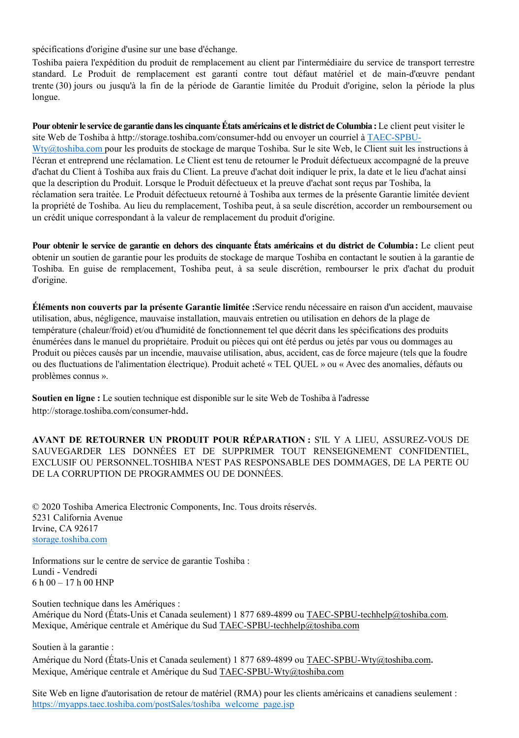spécifications d'origine d'usine sur une base d'échange.

Toshiba paiera l'expédition du produit de remplacement au client par l'intermédiaire du service de transport terrestre standard. Le Produit de remplacement est garanti contre tout défaut matériel et de main-d'œuvre pendant trente (30) jours ou jusqu'à la fin de la période de Garantie limitée du Produit d'origine, selon la période la plus longue.

**Pour obtenir le service de garantie dans les cinquante États américains et le district de Columbia :** Le client peut visiter le site Web de Toshiba à http://storage.toshiba.com/consumer-hdd ou envoyer un courriel à TAEC-SPBU-Wty@toshiba.com pour les produits de stockage de marque Toshiba. Sur le site Web, le Client suit les instructions à l'écran et entreprend une réclamation. Le Client est tenu de retourner le Produit défectueux accompagné de la preuve d'achat du Client à Toshiba aux frais du Client. La preuve d'achat doit indiquer le prix, la date et le lieu d'achat ainsi que la description du Produit. Lorsque le Produit défectueux et la preuve d'achat sont reçus par Toshiba, la réclamation sera traitée. Le Produit défectueux retourné à Toshiba aux termes de la présente Garantie limitée devient la propriété de Toshiba. Au lieu du remplacement, Toshiba peut, à sa seule discrétion, accorder un remboursement ou un crédit unique correspondant à la valeur de remplacement du produit d'origine.

**Pour obtenir le service de garantie en dehors des cinquante États américains et du district de Columbia:** Le client peut obtenir un soutien de garantie pour les produits de stockage de marque Toshiba en contactant le soutien à la garantie de Toshiba. En guise de remplacement, Toshiba peut, à sa seule discrétion, rembourser le prix d'achat du produit d'origine.

**Éléments non couverts par la présente Garantie limitée :**Service rendu nécessaire en raison d'un accident, mauvaise utilisation, abus, négligence, mauvaise installation, mauvais entretien ou utilisation en dehors de la plage de température (chaleur/froid) et/ou d'humidité de fonctionnement tel que décrit dans les spécifications des produits énumérées dans le manuel du propriétaire. Produit ou pièces qui ont été perdus ou jetés par vous ou dommages au Produit ou pièces causés par un incendie, mauvaise utilisation, abus, accident, cas de force majeure (tels que la foudre ou des fluctuations de l'alimentation électrique). Produit acheté « TEL QUEL » ou « Avec des anomalies, défauts ou problèmes connus ».

**Soutien en ligne :** Le soutien technique est disponible sur le site Web de Toshiba à l'adresse http://storage.toshiba.com/consumer-hdd.

**AVANT DE RETOURNER UN PRODUIT POUR RÉPARATION :** S'IL Y A LIEU, ASSUREZ-VOUS DE SAUVEGARDER LES DONNÉES ET DE SUPPRIMER TOUT RENSEIGNEMENT CONFIDENTIEL, EXCLUSIF OU PERSONNEL.TOSHIBA N'EST PAS RESPONSABLE DES DOMMAGES, DE LA PERTE OU DE LA CORRUPTION DE PROGRAMMES OU DE DONNÉES.

© 2020 Toshiba America Electronic Components, Inc. Tous droits réservés. 5231 California Avenue Irvine, CA 92617 [storage.toshiba.com](https://toshiba.semicon-storage.com/us/product/storage-products.html)

Informations sur le centre de service de garantie Toshiba : Lundi - Vendredi 6 h 00 – 17 h 00 HNP

Soutien technique dans les Amériques : Amérique du Nord (États-Unis et Canada seulement) 1 877 689-4899 ou TAEC-SPBU-techhelp@toshiba.com. Mexique, Amérique centrale et Amérique du Sud TAEC-SPBU-techhelp@toshiba.com

Soutien à la garantie :

Amérique du Nord (États-Unis et Canada seulement) 1 877 689-4899 ou TAEC-SPBU-Wty@toshiba.com. Mexique, Amérique centrale et Amérique du Sud TAEC-SPBU-Wty@toshiba.com

Site Web en ligne d'autorisation de retour de matériel (RMA) pour les clients américains et canadiens seulement : [https://myapps.taec.toshiba.com/postSales/toshiba\\_welcome\\_page.jsp](https://myapps.taec.toshiba.com/postSales/toshiba_welcome_page.jsp)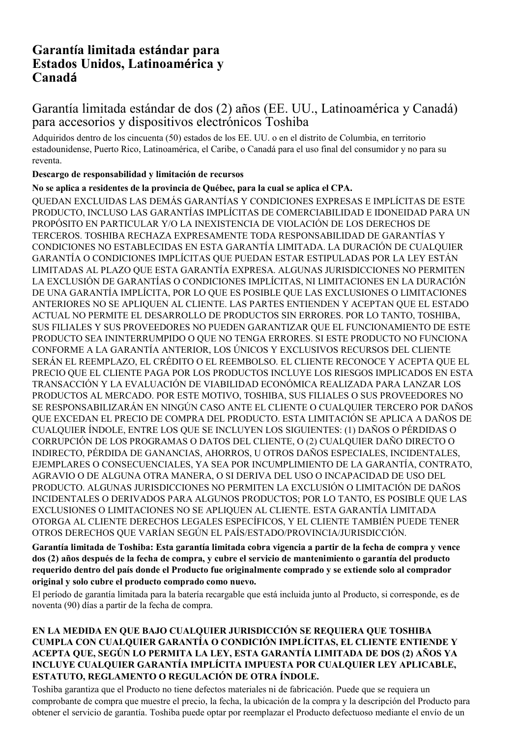# **Garantía limitada estándar para Estados Unidos, Latinoamérica y Canadá**

# Garantía limitada estándar de dos (2) años (EE. UU., Latinoamérica y Canadá) para accesorios y dispositivos electrónicos Toshiba

Adquiridos dentro de los cincuenta (50) estados de los EE. UU. o en el distrito de Columbia, en territorio estadounidense, Puerto Rico, Latinoamérica, el Caribe, o Canadá para el uso final del consumidor y no para su reventa.

#### **Descargo de responsabilidad y limitación de recursos**

## **No se aplica a residentes de la provincia de Québec, para la cual se aplica el CPA.**

QUEDAN EXCLUIDAS LAS DEMÁS GARANTÍAS Y CONDICIONES EXPRESAS E IMPLÍCITAS DE ESTE PRODUCTO, INCLUSO LAS GARANTÍAS IMPLÍCITAS DE COMERCIABILIDAD E IDONEIDAD PARA UN PROPÓSITO EN PARTICULAR Y/O LA INEXISTENCIA DE VIOLACIÓN DE LOS DERECHOS DE TERCEROS. TOSHIBA RECHAZA EXPRESAMENTE TODA RESPONSABILIDAD DE GARANTÍAS Y CONDICIONES NO ESTABLECIDAS EN ESTA GARANTÍA LIMITADA. LA DURACIÓN DE CUALQUIER GARANTÍA O CONDICIONES IMPLÍCITAS QUE PUEDAN ESTAR ESTIPULADAS POR LA LEY ESTÁN LIMITADAS AL PLAZO QUE ESTA GARANTÍA EXPRESA. ALGUNAS JURISDICCIONES NO PERMITEN LA EXCLUSIÓN DE GARANTÍAS O CONDICIONES IMPLÍCITAS, NI LIMITACIONES EN LA DURACIÓN DE UNA GARANTÍA IMPLÍCITA, POR LO QUE ES POSIBLE QUE LAS EXCLUSIONES O LIMITACIONES ANTERIORES NO SE APLIQUEN AL CLIENTE. LAS PARTES ENTIENDEN Y ACEPTAN QUE EL ESTADO ACTUAL NO PERMITE EL DESARROLLO DE PRODUCTOS SIN ERRORES. POR LO TANTO, TOSHIBA, SUS FILIALES Y SUS PROVEEDORES NO PUEDEN GARANTIZAR QUE EL FUNCIONAMIENTO DE ESTE PRODUCTO SEA ININTERRUMPIDO O QUE NO TENGA ERRORES. SI ESTE PRODUCTO NO FUNCIONA CONFORME A LA GARANTÍA ANTERIOR, LOS ÚNICOS Y EXCLUSIVOS RECURSOS DEL CLIENTE SERÁN EL REEMPLAZO, EL CRÉDITO O EL REEMBOLSO. EL CLIENTE RECONOCE Y ACEPTA QUE EL PRECIO QUE EL CLIENTE PAGA POR LOS PRODUCTOS INCLUYE LOS RIESGOS IMPLICADOS EN ESTA TRANSACCIÓN Y LA EVALUACIÓN DE VIABILIDAD ECONÓMICA REALIZADA PARA LANZAR LOS PRODUCTOS AL MERCADO. POR ESTE MOTIVO, TOSHIBA, SUS FILIALES O SUS PROVEEDORES NO SE RESPONSABILIZARÁN EN NINGÚN CASO ANTE EL CLIENTE O CUALQUIER TERCERO POR DAÑOS QUE EXCEDAN EL PRECIO DE COMPRA DEL PRODUCTO. ESTA LIMITACIÓN SE APLICA A DAÑOS DE CUALQUIER ÍNDOLE, ENTRE LOS QUE SE INCLUYEN LOS SIGUIENTES: (1) DAÑOS O PÉRDIDAS O CORRUPCIÓN DE LOS PROGRAMAS O DATOS DEL CLIENTE, O (2) CUALQUIER DAÑO DIRECTO O INDIRECTO, PÉRDIDA DE GANANCIAS, AHORROS, U OTROS DAÑOS ESPECIALES, INCIDENTALES, EJEMPLARES O CONSECUENCIALES, YA SEA POR INCUMPLIMIENTO DE LA GARANTÍA, CONTRATO, AGRAVIO O DE ALGUNA OTRA MANERA, O SI DERIVA DEL USO O INCAPACIDAD DE USO DEL PRODUCTO. ALGUNAS JURISDICCIONES NO PERMITEN LA EXCLUSIÓN O LIMITACIÓN DE DAÑOS INCIDENTALES O DERIVADOS PARA ALGUNOS PRODUCTOS; POR LO TANTO, ES POSIBLE QUE LAS EXCLUSIONES O LIMITACIONES NO SE APLIQUEN AL CLIENTE. ESTA GARANTÍA LIMITADA OTORGA AL CLIENTE DERECHOS LEGALES ESPECÍFICOS, Y EL CLIENTE TAMBIÉN PUEDE TENER OTROS DERECHOS QUE VARÍAN SEGÚN EL PAÍS/ESTADO/PROVINCIA/JURISDICCIÓN.

**Garantía limitada de Toshiba: Esta garantía limitada cobra vigencia a partir de la fecha de compra y vence dos (2) años después de la fecha de compra, y cubre el servicio de mantenimiento o garantía del producto requerido dentro del país donde el Producto fue originalmente comprado y se extiende solo al comprador original y solo cubre el producto comprado como nuevo.**

El período de garantía limitada para la batería recargable que está incluida junto al Producto, si corresponde, es de noventa (90) días a partir de la fecha de compra.

#### **EN LA MEDIDA EN QUE BAJO CUALQUIER JURISDICCIÓN SE REQUIERA QUE TOSHIBA CUMPLA CON CUALQUIER GARANTÍA O CONDICIÓN IMPLÍCITAS, EL CLIENTE ENTIENDE Y ACEPTA QUE, SEGÚN LO PERMITA LA LEY, ESTA GARANTÍA LIMITADA DE DOS (2) AÑOS YA INCLUYE CUALQUIER GARANTÍA IMPLÍCITA IMPUESTA POR CUALQUIER LEY APLICABLE, ESTATUTO, REGLAMENTO O REGULACIÓN DE OTRA ÍNDOLE.**

Toshiba garantiza que el Producto no tiene defectos materiales ni de fabricación. Puede que se requiera un comprobante de compra que muestre el precio, la fecha, la ubicación de la compra y la descripción del Producto para obtener el servicio de garantía. Toshiba puede optar por reemplazar el Producto defectuoso mediante el envío de un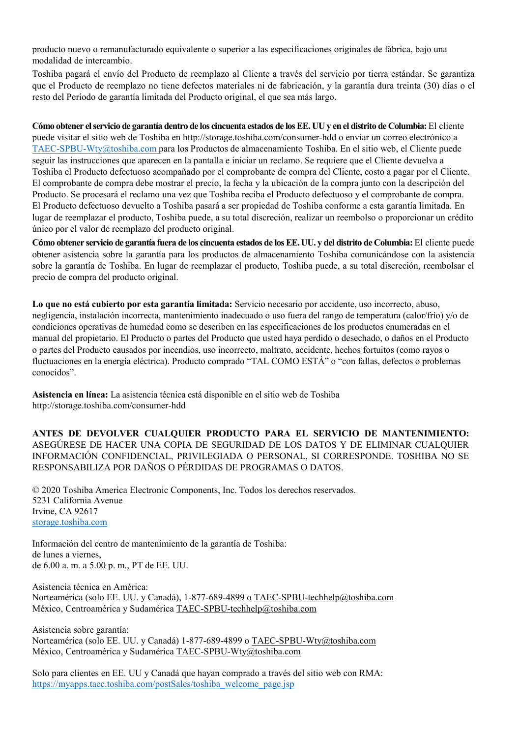producto nuevo o remanufacturado equivalente o superior a las especificaciones originales de fábrica, bajo una modalidad de intercambio.

Toshiba pagará el envío del Producto de reemplazo al Cliente a través del servicio por tierra estándar. Se garantiza que el Producto de reemplazo no tiene defectos materiales ni de fabricación, y la garantía dura treinta (30) días o el resto del Período de garantía limitada del Producto original, el que sea más largo.

**Cómo obtener el servicio de garantía dentro de los cincuenta estados de los EE. UU y en el distrito de Columbia:** El cliente puede visitar el sitio web de Toshiba en http://storage.toshiba.com/consumer-hdd o enviar un correo electrónico a TAEC-SPBU-Wty@toshiba.com para los Productos de almacenamiento Toshiba. En el sitio web, el Cliente puede seguir las instrucciones que aparecen en la pantalla e iniciar un reclamo. Se requiere que el Cliente devuelva a Toshiba el Producto defectuoso acompañado por el comprobante de compra del Cliente, costo a pagar por el Cliente. El comprobante de compra debe mostrar el precio, la fecha y la ubicación de la compra junto con la descripción del Producto. Se procesará el reclamo una vez que Toshiba reciba el Producto defectuoso y el comprobante de compra. El Producto defectuoso devuelto a Toshiba pasará a ser propiedad de Toshiba conforme a esta garantía limitada. En lugar de reemplazar el producto, Toshiba puede, a su total discreción, realizar un reembolso o proporcionar un crédito único por el valor de reemplazo del producto original.

**Cómo obtener servicio de garantía fuera de los cincuenta estados de los EE.UU. y del distrito de Columbia:** El cliente puede obtener asistencia sobre la garantía para los productos de almacenamiento Toshiba comunicándose con la asistencia sobre la garantía de Toshiba. En lugar de reemplazar el producto, Toshiba puede, a su total discreción, reembolsar el precio de compra del producto original.

**Lo que no está cubierto por esta garantía limitada:** Servicio necesario por accidente, uso incorrecto, abuso, negligencia, instalación incorrecta, mantenimiento inadecuado o uso fuera del rango de temperatura (calor/frío) y/o de condiciones operativas de humedad como se describen en las especificaciones de los productos enumeradas en el manual del propietario. El Producto o partes del Producto que usted haya perdido o desechado, o daños en el Producto o partes del Producto causados por incendios, uso incorrecto, maltrato, accidente, hechos fortuitos (como rayos o fluctuaciones en la energía eléctrica). Producto comprado "TAL COMO ESTÁ" o "con fallas, defectos o problemas conocidos".

**Asistencia en línea:** La asistencia técnica está disponible en el sitio web de Toshiba http://storage.toshiba.com/consumer-hdd

**ANTES DE DEVOLVER CUALQUIER PRODUCTO PARA EL SERVICIO DE MANTENIMIENTO:**  ASEGÚRESE DE HACER UNA COPIA DE SEGURIDAD DE LOS DATOS Y DE ELIMINAR CUALQUIER INFORMACIÓN CONFIDENCIAL, PRIVILEGIADA O PERSONAL, SI CORRESPONDE. TOSHIBA NO SE RESPONSABILIZA POR DAÑOS O PÉRDIDAS DE PROGRAMAS O DATOS.

© 2020 Toshiba America Electronic Components, Inc. Todos los derechos reservados. 5231 California Avenue Irvine, CA 92617 [storage.toshiba.com](https://toshiba.semicon-storage.com/us/product/storage-products.html)

Información del centro de mantenimiento de la garantía de Toshiba: de lunes a viernes, de 6.00 a. m. a 5.00 p. m., PT de EE. UU.

Asistencia técnica en América: Norteamérica (solo EE. UU. y Canadá), 1-877-689-4899 o TAEC-SPBU-techhelp@toshiba.com México, Centroamérica y Sudamérica TAEC-SPBU-techhelp@toshiba.com

Asistencia sobre garantía: Norteamérica (solo EE. UU. y Canadá) 1-877-689-4899 o TAEC-SPBU-Wty@toshiba.com México, Centroamérica y Sudamérica TAEC-SPBU-Wty@toshiba.com

Solo para clientes en EE. UU y Canadá que hayan comprado a través del sitio web con RMA: [https://myapps.taec.toshiba.com/postSales/toshiba\\_welcome\\_page.jsp](https://myapps.taec.toshiba.com/postSales/toshiba_welcome_page.jsp)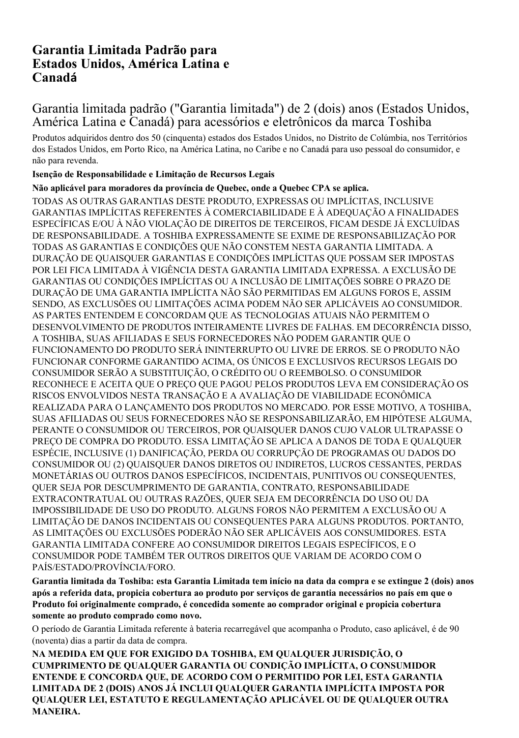# **Garantia Limitada Padrão para Estados Unidos, América Latina e Canadá**

# Garantia limitada padrão ("Garantia limitada") de 2 (dois) anos (Estados Unidos, América Latina e Canadá) para acessórios e eletrônicos da marca Toshiba

Produtos adquiridos dentro dos 50 (cinquenta) estados dos Estados Unidos, no Distrito de Colúmbia, nos Territórios dos Estados Unidos, em Porto Rico, na América Latina, no Caribe e no Canadá para uso pessoal do consumidor, e não para revenda.

## **Isenção de Responsabilidade e Limitação de Recursos Legais**

## **Não aplicável para moradores da província de Quebec, onde a Quebec CPA se aplica.**

TODAS AS OUTRAS GARANTIAS DESTE PRODUTO, EXPRESSAS OU IMPLÍCITAS, INCLUSIVE GARANTIAS IMPLÍCITAS REFERENTES À COMERCIABILIDADE E À ADEQUAÇÃO A FINALIDADES ESPECÍFICAS E/OU À NÃO VIOLAÇÃO DE DIREITOS DE TERCEIROS, FICAM DESDE JÁ EXCLUÍDAS DE RESPONSABILIDADE. A TOSHIBA EXPRESSAMENTE SE EXIME DE RESPONSABILIZAÇÃO POR TODAS AS GARANTIAS E CONDIÇÕES QUE NÃO CONSTEM NESTA GARANTIA LIMITADA. A DURAÇÃO DE QUAISQUER GARANTIAS E CONDIÇÕES IMPLÍCITAS QUE POSSAM SER IMPOSTAS POR LEI FICA LIMITADA À VIGÊNCIA DESTA GARANTIA LIMITADA EXPRESSA. A EXCLUSÃO DE GARANTIAS OU CONDIÇÕES IMPLÍCITAS OU A INCLUSÃO DE LIMITAÇÕES SOBRE O PRAZO DE DURAÇÃO DE UMA GARANTIA IMPLÍCITA NÃO SÃO PERMITIDAS EM ALGUNS FOROS E, ASSIM SENDO, AS EXCLUSÕES OU LIMITAÇÕES ACIMA PODEM NÃO SER APLICÁVEIS AO CONSUMIDOR. AS PARTES ENTENDEM E CONCORDAM QUE AS TECNOLOGIAS ATUAIS NÃO PERMITEM O DESENVOLVIMENTO DE PRODUTOS INTEIRAMENTE LIVRES DE FALHAS. EM DECORRÊNCIA DISSO, A TOSHIBA, SUAS AFILIADAS E SEUS FORNECEDORES NÃO PODEM GARANTIR QUE O FUNCIONAMENTO DO PRODUTO SERÁ ININTERRUPTO OU LIVRE DE ERROS. SE O PRODUTO NÃO FUNCIONAR CONFORME GARANTIDO ACIMA, OS ÚNICOS E EXCLUSIVOS RECURSOS LEGAIS DO CONSUMIDOR SERÃO A SUBSTITUIÇÃO, O CRÉDITO OU O REEMBOLSO. O CONSUMIDOR RECONHECE E ACEITA QUE O PREÇO QUE PAGOU PELOS PRODUTOS LEVA EM CONSIDERAÇÃO OS RISCOS ENVOLVIDOS NESTA TRANSAÇÃO E A AVALIAÇÃO DE VIABILIDADE ECONÔMICA REALIZADA PARA O LANÇAMENTO DOS PRODUTOS NO MERCADO. POR ESSE MOTIVO, A TOSHIBA, SUAS AFILIADAS OU SEUS FORNECEDORES NÃO SE RESPONSABILIZARÃO, EM HIPÓTESE ALGUMA, PERANTE O CONSUMIDOR OU TERCEIROS, POR QUAISQUER DANOS CUJO VALOR ULTRAPASSE O PREÇO DE COMPRA DO PRODUTO. ESSA LIMITAÇÃO SE APLICA A DANOS DE TODA E QUALQUER ESPÉCIE, INCLUSIVE (1) DANIFICAÇÃO, PERDA OU CORRUPÇÃO DE PROGRAMAS OU DADOS DO CONSUMIDOR OU (2) QUAISQUER DANOS DIRETOS OU INDIRETOS, LUCROS CESSANTES, PERDAS MONETÁRIAS OU OUTROS DANOS ESPECÍFICOS, INCIDENTAIS, PUNITIVOS OU CONSEQUENTES, QUER SEJA POR DESCUMPRIMENTO DE GARANTIA, CONTRATO, RESPONSABILIDADE EXTRACONTRATUAL OU OUTRAS RAZÕES, QUER SEJA EM DECORRÊNCIA DO USO OU DA IMPOSSIBILIDADE DE USO DO PRODUTO. ALGUNS FOROS NÃO PERMITEM A EXCLUSÃO OU A LIMITAÇÃO DE DANOS INCIDENTAIS OU CONSEQUENTES PARA ALGUNS PRODUTOS. PORTANTO, AS LIMITAÇÕES OU EXCLUSÕES PODERÃO NÃO SER APLICÁVEIS AOS CONSUMIDORES. ESTA GARANTIA LIMITADA CONFERE AO CONSUMIDOR DIREITOS LEGAIS ESPECÍFICOS, E O CONSUMIDOR PODE TAMBÉM TER OUTROS DIREITOS QUE VARIAM DE ACORDO COM O PAÍS/ESTADO/PROVÍNCIA/FORO.

**Garantia limitada da Toshiba: esta Garantia Limitada tem início na data da compra e se extingue 2 (dois) anos após a referida data, propicia cobertura ao produto por serviços de garantia necessários no país em que o Produto foi originalmente comprado, é concedida somente ao comprador original e propicia cobertura somente ao produto comprado como novo.**

O período de Garantia Limitada referente à bateria recarregável que acompanha o Produto, caso aplicável, é de 90 (noventa) dias a partir da data de compra.

**NA MEDIDA EM QUE FOR EXIGIDO DA TOSHIBA, EM QUALQUER JURISDIÇÃO, O CUMPRIMENTO DE QUALQUER GARANTIA OU CONDIÇÃO IMPLÍCITA, O CONSUMIDOR ENTENDE E CONCORDA QUE, DE ACORDO COM O PERMITIDO POR LEI, ESTA GARANTIA LIMITADA DE 2 (DOIS) ANOS JÁ INCLUI QUALQUER GARANTIA IMPLÍCITA IMPOSTA POR QUALQUER LEI, ESTATUTO E REGULAMENTAÇÃO APLICÁVEL OU DE QUALQUER OUTRA MANEIRA.**